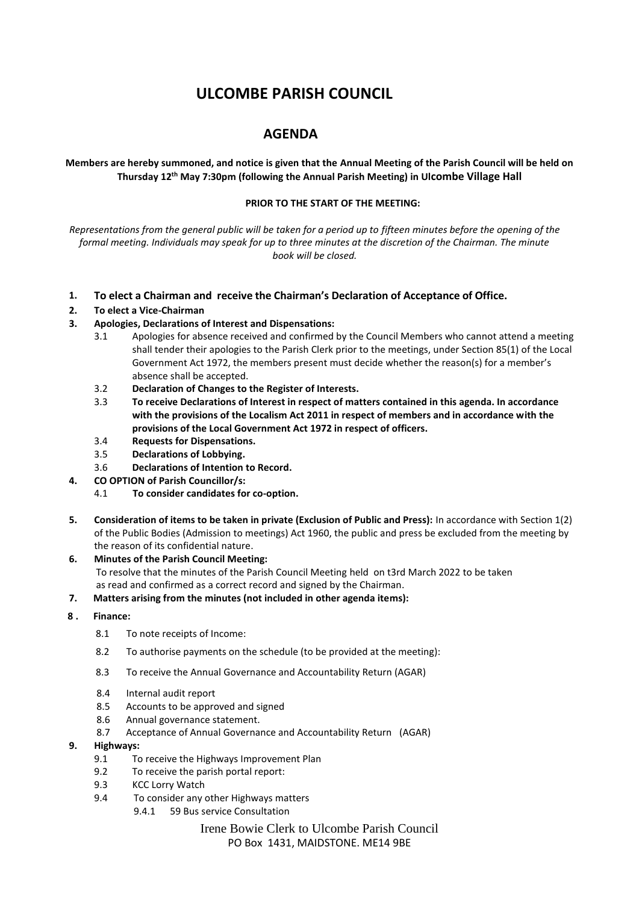# **ULCOMBE PARISH COUNCIL**

# **AGENDA**

**Members are hereby summoned, and notice is given that the Annual Meeting of the Parish Council will be held on Thursday 12th May 7:30pm (following the Annual Parish Meeting) in Ulcombe Village Hall**

#### **PRIOR TO THE START OF THE MEETING:**

*Representations from the general public will be taken for a period up to fifteen minutes before the opening of the formal meeting. Individuals may speak for up to three minutes at the discretion of the Chairman. The minute book will be closed.*

- **1. To elect a Chairman and receive the Chairman's Declaration of Acceptance of Office.**
- **2. To elect a Vice-Chairman**
- **3. Apologies, Declarations of Interest and Dispensations:**
	- 3.1 Apologies for absence received and confirmed by the Council Members who cannot attend a meeting shall tender their apologies to the Parish Clerk prior to the meetings, under Section 85(1) of the Local Government Act 1972, the members present must decide whether the reason(s) for a member's absence shall be accepted.
	- 3.2 **Declaration of Changes to the Register of Interests.**
	- 3.3 **To receive Declarations of Interest in respect of matters contained in this agenda. In accordance with the provisions of the Localism Act 2011 in respect of members and in accordance with the provisions of the Local Government Act 1972 in respect of officers.**
	- 3.4 **Requests for Dispensations.**
	- 3.5 **Declarations of Lobbying.**
	- 3.6 **Declarations of Intention to Record.**
- **4. CO OPTION of Parish Councillor/s:**
	- 4.1 **To consider candidates for co-option.**
- **5. Consideration of items to be taken in private (Exclusion of Public and Press):** In accordance with Section 1(2) of the Public Bodies (Admission to meetings) Act 1960, the public and press be excluded from the meeting by the reason of its confidential nature.
- **6. Minutes of the Parish Council Meeting:**  To resolve that the minutes of the Parish Council Meeting held on t3rd March 2022 to be taken as read and confirmed as a correct record and signed by the Chairman.

#### **7. Matters arising from the minutes (not included in other agenda items):**

# **8 . Finance:**

- 8.1 To note receipts of Income:
- 8.2 To authorise payments on the schedule (to be provided at the meeting):
- 8.3 To receive the Annual Governance and Accountability Return (AGAR)
- 8.4 Internal audit report
- 8.5 Accounts to be approved and signed
- 8.6 Annual governance statement.
- 8.7 Acceptance of Annual Governance and Accountability Return (AGAR)

#### **9. Highways:**

- 9.1 To receive the Highways Improvement Plan
- 9.2 To receive the parish portal report:
- 9.3 KCC Lorry Watch
- 9.4 To consider any other Highways matters
	- 9.4.1 59 Bus service Consultation

### Irene Bowie Clerk to Ulcombe Parish Council PO Box 1431, MAIDSTONE. ME14 9BE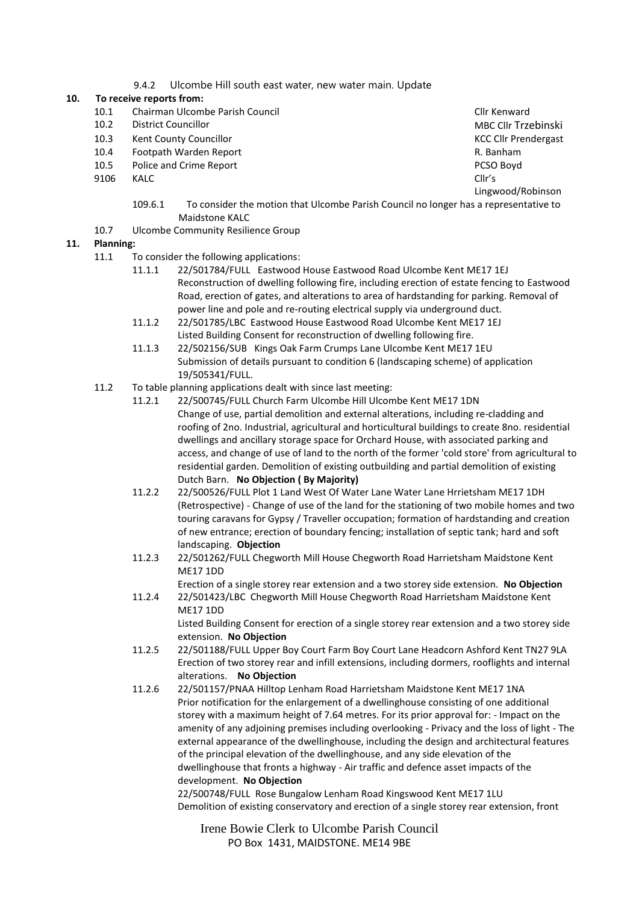9.4.2 Ulcombe Hill south east water, new water main. Update

### **10. To receive reports from:**

- 10.1 Chairman Ulcombe Parish Council and Clinical Clinical Clinical Clinical Clinical Clinical Clinical Clinical Clinical Clinical Clinical Clinical Clinical Clinical Clinical Clinical Clinical Clinical Clinical Clinical C
- 
- 10.3 Kent County Councillor Company Councillor County Councillor County Council County Council County Council County Council County Council County Council County Council County Council County Council County Council County
- 10.4 Footpath Warden Report **Report Access 10.4 Footpath Warden** R. Banham
- 10.5 Police and Crime Report **PCSO Boyd** PCSO Boyd
- 9106 KALC Cllr's

MBC Cllr Trzebinski Lingwood/Robinson

- 109.6.1 To consider the motion that Ulcombe Parish Council no longer has a representative to Maidstone KALC
- 10.7 Ulcombe Community Resilience Group

#### **11. Planning:**

- 11.1 To consider the following applications:
	- 11.1.1 22/501784/FULL Eastwood House Eastwood Road Ulcombe Kent ME17 1EJ Reconstruction of dwelling following fire, including erection of estate fencing to Eastwood Road, erection of gates, and alterations to area of hardstanding for parking. Removal of power line and pole and re-routing electrical supply via underground duct.
	- 11.1.2 22/501785/LBC Eastwood House Eastwood Road Ulcombe Kent ME17 1EJ Listed Building Consent for reconstruction of dwelling following fire.
	- 11.1.3 22/502156/SUB Kings Oak Farm Crumps Lane Ulcombe Kent ME17 1EU Submission of details pursuant to condition 6 (landscaping scheme) of application 19/505341/FULL.
- 11.2 To table planning applications dealt with since last meeting:
	- 11.2.1 22/500745/FULL Church Farm Ulcombe Hill Ulcombe Kent ME17 1DN Change of use, partial demolition and external alterations, including re-cladding and roofing of 2no. Industrial, agricultural and horticultural buildings to create 8no. residential dwellings and ancillary storage space for Orchard House, with associated parking and access, and change of use of land to the north of the former 'cold store' from agricultural to residential garden. Demolition of existing outbuilding and partial demolition of existing Dutch Barn. **No Objection ( By Majority)**
	- 11.2.2 22/500526/FULL Plot 1 Land West Of Water Lane Water Lane Hrrietsham ME17 1DH (Retrospective) - Change of use of the land for the stationing of two mobile homes and two touring caravans for Gypsy / Traveller occupation; formation of hardstanding and creation of new entrance; erection of boundary fencing; installation of septic tank; hard and soft landscaping. **Objection**
	- 11.2.3 22/501262/FULL Chegworth Mill House Chegworth Road Harrietsham Maidstone Kent ME17 1DD
	- Erection of a single storey rear extension and a two storey side extension. **No Objection** 11.2.4 22/501423/LBC Chegworth Mill House Chegworth Road Harrietsham Maidstone Kent

ME17 1DD Listed Building Consent for erection of a single storey rear extension and a two storey side extension. **No Objection**

- 11.2.5 22/501188/FULL Upper Boy Court Farm Boy Court Lane Headcorn Ashford Kent TN27 9LA Erection of two storey rear and infill extensions, including dormers, rooflights and internal alterations. **No Objection**
- 11.2.6 22/501157/PNAA Hilltop Lenham Road Harrietsham Maidstone Kent ME17 1NA Prior notification for the enlargement of a dwellinghouse consisting of one additional storey with a maximum height of 7.64 metres. For its prior approval for: - Impact on the amenity of any adjoining premises including overlooking - Privacy and the loss of light - The external appearance of the dwellinghouse, including the design and architectural features of the principal elevation of the dwellinghouse, and any side elevation of the dwellinghouse that fronts a highway - Air traffic and defence asset impacts of the development. **No Objection**

22/500748/FULL Rose Bungalow Lenham Road Kingswood Kent ME17 1LU Demolition of existing conservatory and erection of a single storey rear extension, front

Irene Bowie Clerk to Ulcombe Parish Council PO Box 1431, MAIDSTONE. ME14 9BE